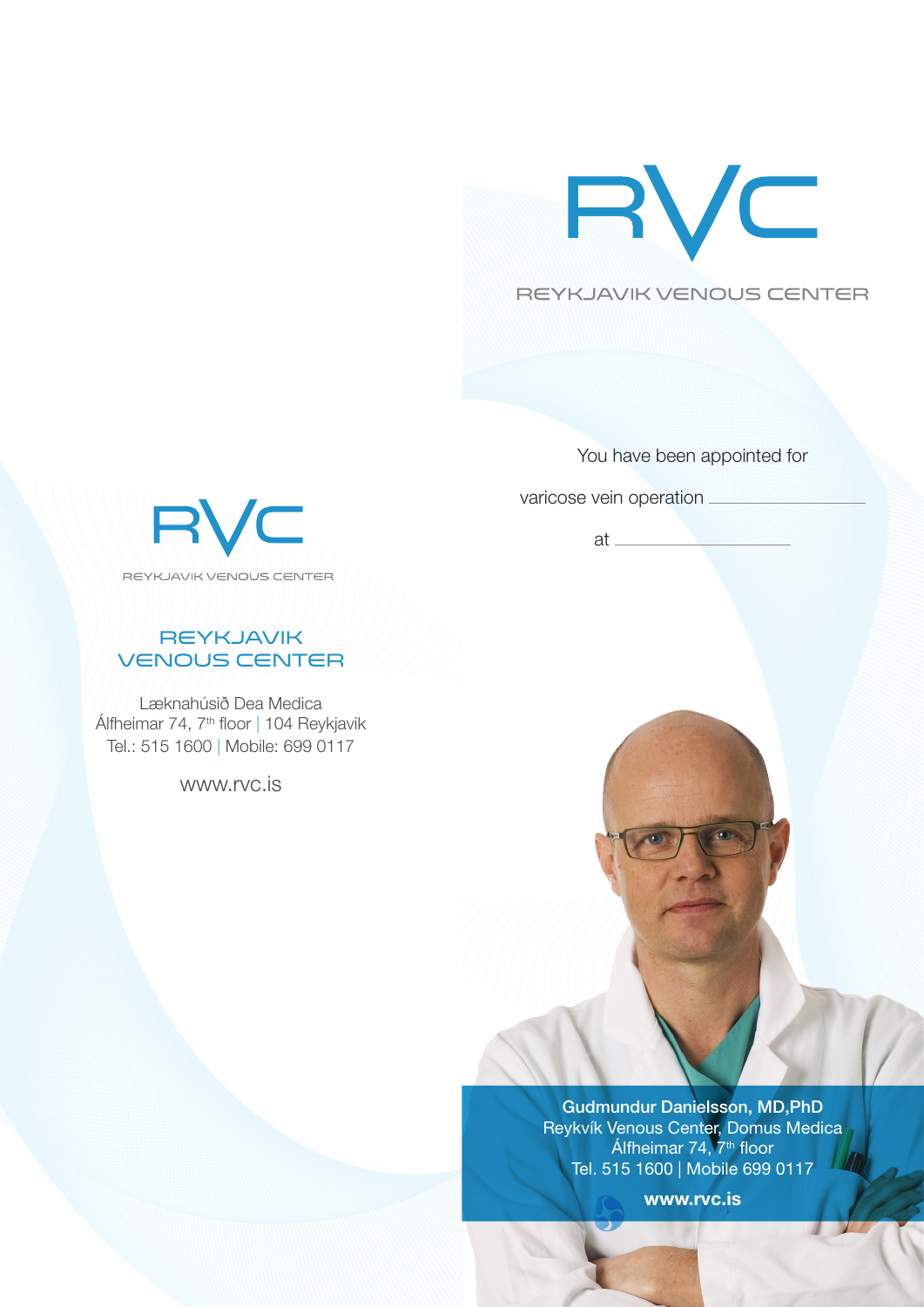



You have been appointed for

varicose vein operation

at



# **REYKJAVIK** VENOUS CENTER

Læknahúsið Dea Medica Álfheimar 74, 7th floor | 104 Reykjavik Tel.: 515 1600 | Mobile: 699 0117

www.rvc.is



Gudmundur Danielsson, MD,PhD Reykvík Venous Center, Domus Medica Álfheimar 74, 7<sup>th</sup> floor Tel. 515 1600 | Mobile 699 0117

www.rvc.is